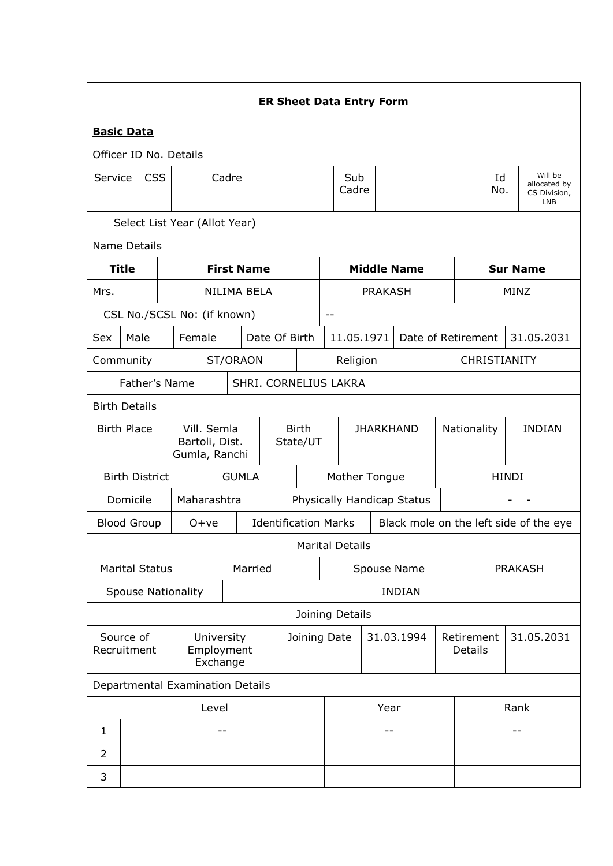|                                                                  | <b>ER Sheet Data Entry Form</b>                                      |                     |                             |                          |               |                  |                                                                       |                            |                |                       |                    |                |  |                                                       |  |
|------------------------------------------------------------------|----------------------------------------------------------------------|---------------------|-----------------------------|--------------------------|---------------|------------------|-----------------------------------------------------------------------|----------------------------|----------------|-----------------------|--------------------|----------------|--|-------------------------------------------------------|--|
| <b>Basic Data</b>                                                |                                                                      |                     |                             |                          |               |                  |                                                                       |                            |                |                       |                    |                |  |                                                       |  |
|                                                                  | Officer ID No. Details                                               |                     |                             |                          |               |                  |                                                                       |                            |                |                       |                    |                |  |                                                       |  |
| Service                                                          |                                                                      | <b>CSS</b><br>Cadre |                             |                          |               |                  | Sub<br>Cadre                                                          |                            |                |                       |                    | Id<br>No.      |  | Will be<br>allocated by<br>CS Division,<br><b>LNB</b> |  |
| Select List Year (Allot Year)                                    |                                                                      |                     |                             |                          |               |                  |                                                                       |                            |                |                       |                    |                |  |                                                       |  |
|                                                                  | <b>Name Details</b>                                                  |                     |                             |                          |               |                  |                                                                       |                            |                |                       |                    |                |  |                                                       |  |
|                                                                  | <b>Title</b>                                                         |                     |                             | <b>First Name</b>        |               |                  |                                                                       |                            |                | <b>Middle Name</b>    |                    |                |  | <b>Sur Name</b>                                       |  |
| Mrs.                                                             |                                                                      |                     |                             | NILIMA BELA              |               |                  |                                                                       |                            | <b>PRAKASH</b> |                       |                    |                |  | MINZ                                                  |  |
|                                                                  |                                                                      |                     | CSL No./SCSL No: (if known) |                          |               |                  | $- -$                                                                 |                            |                |                       |                    |                |  |                                                       |  |
| Sex                                                              | Male                                                                 |                     | Female                      |                          | Date Of Birth |                  |                                                                       | 11.05.1971                 |                |                       | Date of Retirement |                |  | 31.05.2031                                            |  |
|                                                                  | ST/ORAON<br>Religion<br>CHRISTIANITY<br>Community                    |                     |                             |                          |               |                  |                                                                       |                            |                |                       |                    |                |  |                                                       |  |
|                                                                  | Father's Name<br>SHRI. CORNELIUS LAKRA                               |                     |                             |                          |               |                  |                                                                       |                            |                |                       |                    |                |  |                                                       |  |
| <b>Birth Details</b>                                             |                                                                      |                     |                             |                          |               |                  |                                                                       |                            |                |                       |                    |                |  |                                                       |  |
|                                                                  | <b>Birth Place</b><br>Vill. Semla<br>Bartoli, Dist.<br>Gumla, Ranchi |                     |                             | <b>Birth</b><br>State/UT |               | <b>JHARKHAND</b> |                                                                       |                            |                | Nationality           |                    | <b>INDIAN</b>  |  |                                                       |  |
|                                                                  | <b>Birth District</b>                                                |                     |                             | <b>GUMLA</b>             |               |                  |                                                                       | Mother Tongue              |                |                       |                    |                |  | <b>HINDI</b>                                          |  |
|                                                                  | Domicile                                                             |                     | Maharashtra                 |                          |               |                  |                                                                       | Physically Handicap Status |                |                       |                    |                |  |                                                       |  |
|                                                                  | <b>Blood Group</b>                                                   |                     | $O+ve$                      |                          |               |                  | <b>Identification Marks</b><br>Black mole on the left side of the eye |                            |                |                       |                    |                |  |                                                       |  |
|                                                                  |                                                                      |                     |                             |                          |               |                  |                                                                       | <b>Marital Details</b>     |                |                       |                    |                |  |                                                       |  |
|                                                                  | <b>Marital Status</b>                                                |                     |                             | Married                  |               |                  | Spouse Name                                                           |                            |                |                       |                    | <b>PRAKASH</b> |  |                                                       |  |
|                                                                  |                                                                      |                     | <b>Spouse Nationality</b>   |                          |               |                  | <b>INDIAN</b>                                                         |                            |                |                       |                    |                |  |                                                       |  |
|                                                                  |                                                                      |                     |                             |                          |               |                  |                                                                       | Joining Details            |                |                       |                    |                |  |                                                       |  |
| Source of<br>University<br>Recruitment<br>Employment<br>Exchange |                                                                      |                     |                             | Joining Date             |               |                  | 31.03.1994                                                            |                            |                | Retirement<br>Details |                    | 31.05.2031     |  |                                                       |  |
|                                                                  | Departmental Examination Details                                     |                     |                             |                          |               |                  |                                                                       |                            |                |                       |                    |                |  |                                                       |  |
| Level                                                            |                                                                      |                     |                             |                          |               | Year             |                                                                       |                            | Rank           |                       |                    |                |  |                                                       |  |
| 1                                                                |                                                                      |                     | $ -$                        |                          |               |                  |                                                                       |                            | $ -$           |                       |                    |                |  | --                                                    |  |
| $\overline{2}$                                                   |                                                                      |                     |                             |                          |               |                  |                                                                       |                            |                |                       |                    |                |  |                                                       |  |
| 3                                                                |                                                                      |                     |                             |                          |               |                  |                                                                       |                            |                |                       |                    |                |  |                                                       |  |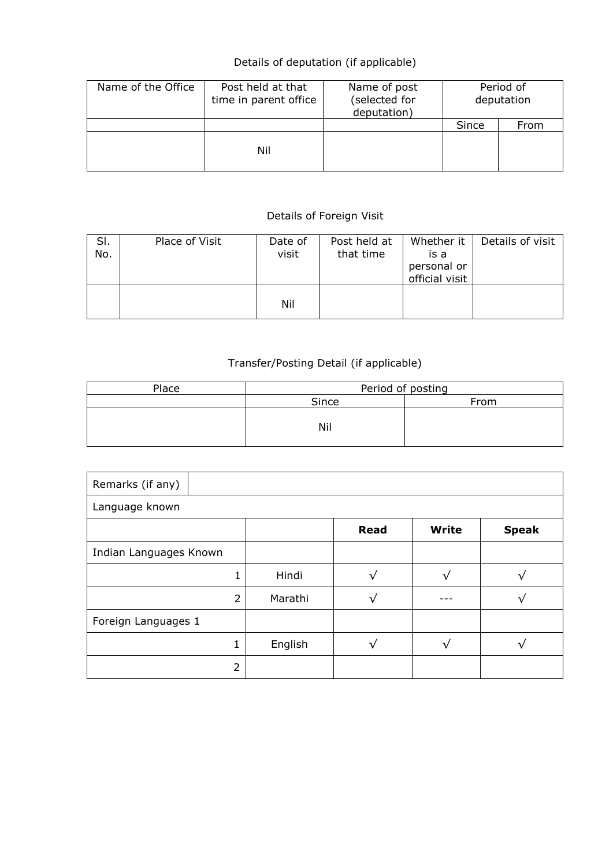## Details of deputation (if applicable)

| Name of the Office | Post held at that<br>time in parent office | Name of post<br>(selected for<br>deputation) | Period of<br>deputation |      |  |
|--------------------|--------------------------------------------|----------------------------------------------|-------------------------|------|--|
|                    |                                            |                                              | Since                   | From |  |
|                    | Nil                                        |                                              |                         |      |  |

## Details of Foreign Visit

| SI.<br>No. | Place of Visit | Date of<br>visit | Post held at<br>that time | Whether it  <br>is a<br>personal or<br>official visit | Details of visit |
|------------|----------------|------------------|---------------------------|-------------------------------------------------------|------------------|
|            |                | Nil              |                           |                                                       |                  |

## Transfer/Posting Detail (if applicable)

| Place | Period of posting |      |  |  |  |  |  |
|-------|-------------------|------|--|--|--|--|--|
|       | Since             | From |  |  |  |  |  |
|       | Nil               |      |  |  |  |  |  |

| Remarks (if any)       |         |             |       |              |  |  |  |  |  |
|------------------------|---------|-------------|-------|--------------|--|--|--|--|--|
| Language known         |         |             |       |              |  |  |  |  |  |
|                        |         | <b>Read</b> | Write | <b>Speak</b> |  |  |  |  |  |
| Indian Languages Known |         |             |       |              |  |  |  |  |  |
|                        | Hindi   |             |       |              |  |  |  |  |  |
| 2                      | Marathi |             |       |              |  |  |  |  |  |
| Foreign Languages 1    |         |             |       |              |  |  |  |  |  |
|                        | English |             |       |              |  |  |  |  |  |
| フ                      |         |             |       |              |  |  |  |  |  |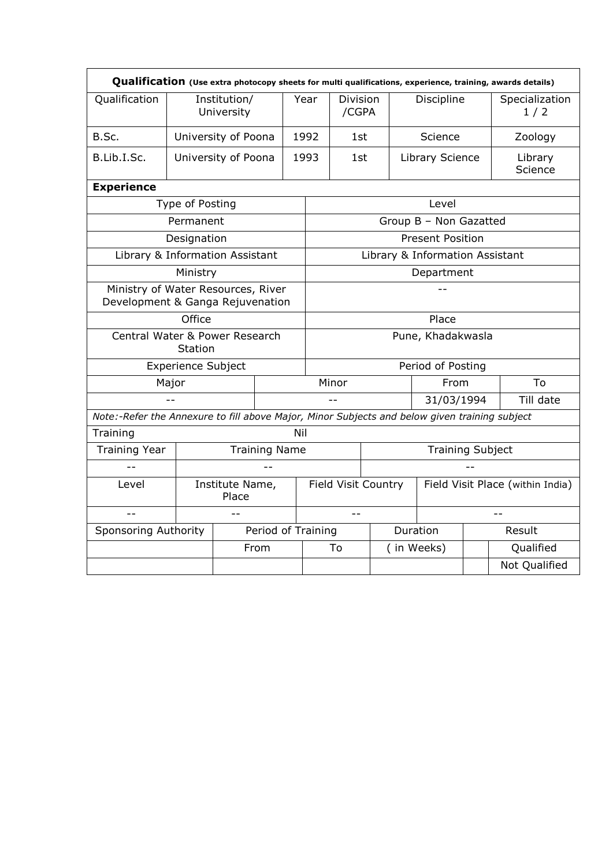| Qualification (Use extra photocopy sheets for multi qualifications, experience, training, awards details) |                           |                            |                    |                                                         |                         |     |             |                                 |           |                       |  |
|-----------------------------------------------------------------------------------------------------------|---------------------------|----------------------------|--------------------|---------------------------------------------------------|-------------------------|-----|-------------|---------------------------------|-----------|-----------------------|--|
| Qualification                                                                                             |                           | Institution/<br>University |                    | Year                                                    | Division<br>/CGPA       |     |             | Discipline                      |           | Specialization<br>1/2 |  |
| B.Sc.                                                                                                     |                           | University of Poona        |                    | 1992                                                    | 1st                     |     |             | Science                         |           | Zoology               |  |
| B.Lib.I.Sc.                                                                                               |                           | University of Poona        | 1993               |                                                         |                         | 1st |             | Library Science                 |           | Library<br>Science    |  |
| <b>Experience</b>                                                                                         |                           |                            |                    |                                                         |                         |     |             |                                 |           |                       |  |
|                                                                                                           | Type of Posting           |                            |                    |                                                         |                         |     |             | Level                           |           |                       |  |
|                                                                                                           | Permanent                 |                            |                    |                                                         |                         |     |             | Group B - Non Gazatted          |           |                       |  |
|                                                                                                           | Designation               |                            |                    |                                                         |                         |     |             | <b>Present Position</b>         |           |                       |  |
| Library & Information Assistant                                                                           |                           |                            |                    |                                                         |                         |     |             | Library & Information Assistant |           |                       |  |
| Ministry                                                                                                  |                           |                            |                    |                                                         | Department              |     |             |                                 |           |                       |  |
| Ministry of Water Resources, River<br>Development & Ganga Rejuvenation                                    |                           |                            |                    |                                                         |                         |     |             |                                 |           |                       |  |
|                                                                                                           | Office                    |                            |                    | Place                                                   |                         |     |             |                                 |           |                       |  |
| Central Water & Power Research                                                                            | Station                   |                            |                    |                                                         | Pune, Khadakwasla       |     |             |                                 |           |                       |  |
|                                                                                                           | <b>Experience Subject</b> |                            |                    |                                                         |                         |     |             | Period of Posting               |           |                       |  |
|                                                                                                           | Major                     |                            |                    |                                                         | Minor<br>From           |     |             |                                 |           | To                    |  |
|                                                                                                           |                           |                            |                    |                                                         | 31/03/1994              |     |             |                                 | Till date |                       |  |
| Note:-Refer the Annexure to fill above Major, Minor Subjects and below given training subject             |                           |                            |                    |                                                         |                         |     |             |                                 |           |                       |  |
| Training                                                                                                  |                           |                            | Nil                |                                                         |                         |     |             |                                 |           |                       |  |
| <b>Training Year</b>                                                                                      |                           | <b>Training Name</b>       |                    |                                                         | <b>Training Subject</b> |     |             |                                 |           |                       |  |
|                                                                                                           |                           |                            |                    |                                                         |                         |     |             |                                 |           |                       |  |
| Institute Name,<br>Level<br>Place                                                                         |                           |                            |                    | Field Visit Place (within India)<br>Field Visit Country |                         |     |             |                                 |           |                       |  |
| $-$<br>u.                                                                                                 |                           |                            |                    |                                                         |                         |     |             |                                 |           |                       |  |
| Sponsoring Authority                                                                                      |                           |                            | Period of Training |                                                         |                         |     |             | Duration                        |           | Result                |  |
|                                                                                                           |                           | From                       |                    |                                                         | To                      |     | ( in Weeks) |                                 |           | Qualified             |  |
|                                                                                                           |                           |                            |                    |                                                         |                         |     |             |                                 |           | Not Qualified         |  |